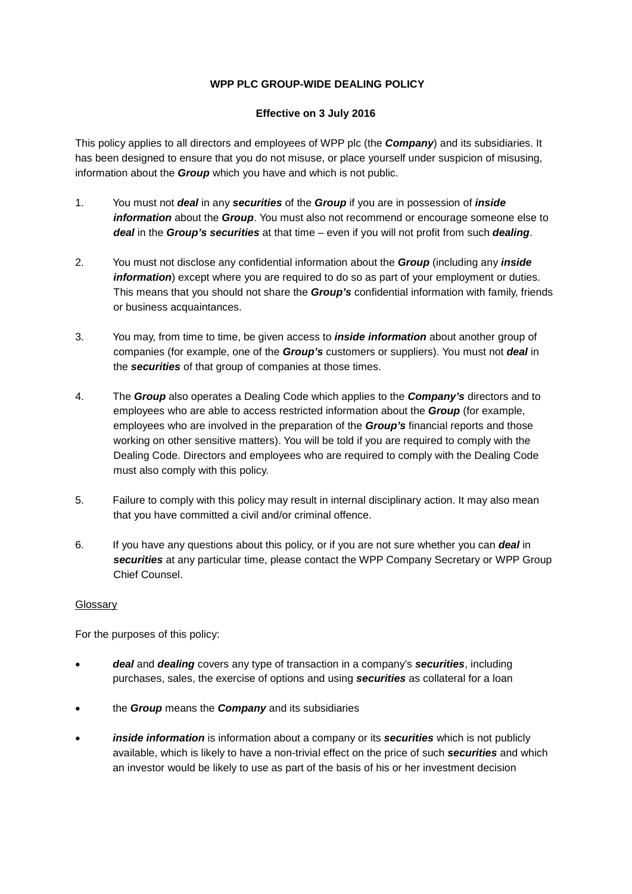## **WPP PLC GROUP-WIDE DEALING POLICY**

## **Effective on 3 July 2016**

This policy applies to all directors and employees of WPP plc (the *Company*) and its subsidiaries. It has been designed to ensure that you do not misuse, or place yourself under suspicion of misusing, information about the *Group* which you have and which is not public.

- 1. You must not *deal* in any *securities* of the *Group* if you are in possession of *inside information* about the *Group*. You must also not recommend or encourage someone else to *deal* in the *Group's securities* at that time – even if you will not profit from such *dealing*.
- 2. You must not disclose any confidential information about the *Group* (including any *inside information*) except where you are required to do so as part of your employment or duties. This means that you should not share the *Group's* confidential information with family, friends or business acquaintances.
- 3. You may, from time to time, be given access to *inside information* about another group of companies (for example, one of the *Group's* customers or suppliers). You must not *deal* in the *securities* of that group of companies at those times.
- 4. The *Group* also operates a Dealing Code which applies to the *Company's* directors and to employees who are able to access restricted information about the *Group* (for example, employees who are involved in the preparation of the *Group's* financial reports and those working on other sensitive matters). You will be told if you are required to comply with the Dealing Code. Directors and employees who are required to comply with the Dealing Code must also comply with this policy.
- 5. Failure to comply with this policy may result in internal disciplinary action. It may also mean that you have committed a civil and/or criminal offence.
- 6. If you have any questions about this policy, or if you are not sure whether you can *deal* in *securities* at any particular time, please contact the WPP Company Secretary or WPP Group Chief Counsel.

## Glossary

For the purposes of this policy:

- *deal* and *dealing* covers any type of transaction in a company's *securities*, including purchases, sales, the exercise of options and using *securities* as collateral for a loan
- the *Group* means the *Company* and its subsidiaries
- *inside information* is information about a company or its *securities* which is not publicly available, which is likely to have a non-trivial effect on the price of such *securities* and which an investor would be likely to use as part of the basis of his or her investment decision